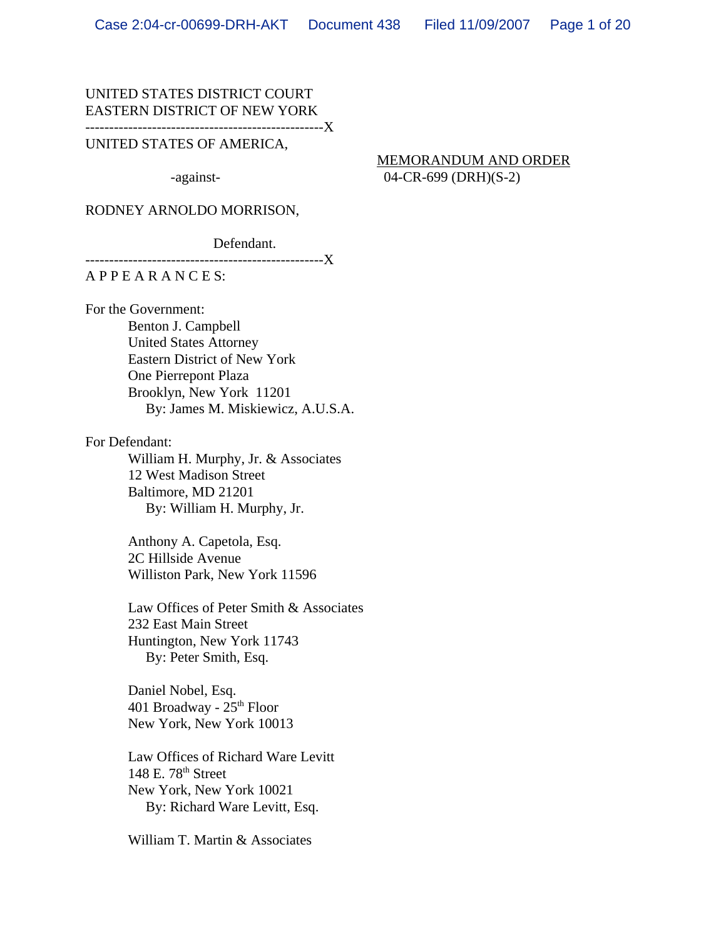#### UNITED STATES DISTRICT COURT EASTERN DISTRICT OF NEW YORK --------------------------------------------------X

#### UNITED STATES OF AMERICA,

 MEMORANDUM AND ORDER -against- 04-CR-699 (DRH)(S-2)

#### RODNEY ARNOLDO MORRISON,

Defendant.

-------------------------------------X

## A P P E A R A N C E S:

For the Government:

Benton J. Campbell United States Attorney Eastern District of New York One Pierrepont Plaza Brooklyn, New York 11201 By: James M. Miskiewicz, A.U.S.A.

For Defendant:

William H. Murphy, Jr. & Associates 12 West Madison Street Baltimore, MD 21201 By: William H. Murphy, Jr.

Anthony A. Capetola, Esq. 2C Hillside Avenue Williston Park, New York 11596

Law Offices of Peter Smith & Associates 232 East Main Street Huntington, New York 11743 By: Peter Smith, Esq.

Daniel Nobel, Esq. 401 Broadway -  $25<sup>th</sup>$  Floor New York, New York 10013

Law Offices of Richard Ware Levitt  $148$  E.  $78<sup>th</sup>$  Street New York, New York 10021 By: Richard Ware Levitt, Esq.

William T. Martin & Associates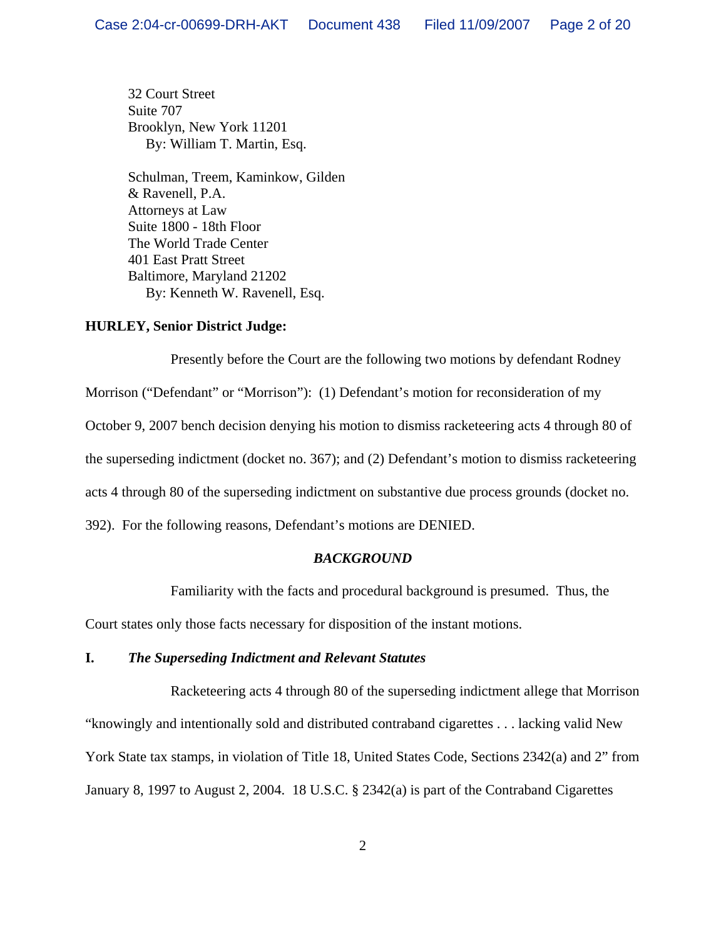32 Court Street Suite 707 Brooklyn, New York 11201 By: William T. Martin, Esq.

Schulman, Treem, Kaminkow, Gilden & Ravenell, P.A. Attorneys at Law Suite 1800 - 18th Floor The World Trade Center 401 East Pratt Street Baltimore, Maryland 21202 By: Kenneth W. Ravenell, Esq.

### **HURLEY, Senior District Judge:**

Presently before the Court are the following two motions by defendant Rodney Morrison ("Defendant" or "Morrison"): (1) Defendant's motion for reconsideration of my October 9, 2007 bench decision denying his motion to dismiss racketeering acts 4 through 80 of the superseding indictment (docket no. 367); and (2) Defendant's motion to dismiss racketeering acts 4 through 80 of the superseding indictment on substantive due process grounds (docket no. 392). For the following reasons, Defendant's motions are DENIED.

### *BACKGROUND*

Familiarity with the facts and procedural background is presumed. Thus, the

Court states only those facts necessary for disposition of the instant motions.

### **I.** *The Superseding Indictment and Relevant Statutes*

Racketeering acts 4 through 80 of the superseding indictment allege that Morrison "knowingly and intentionally sold and distributed contraband cigarettes . . . lacking valid New York State tax stamps, in violation of Title 18, United States Code, Sections 2342(a) and 2" from January 8, 1997 to August 2, 2004. 18 U.S.C. § 2342(a) is part of the Contraband Cigarettes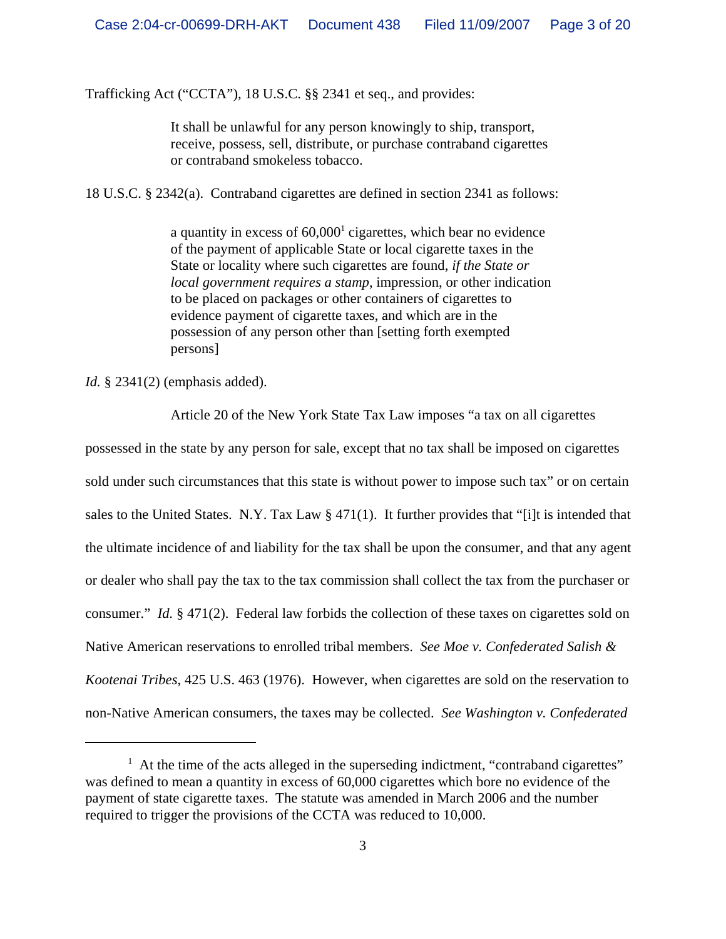Trafficking Act ("CCTA"), 18 U.S.C. §§ 2341 et seq., and provides:

It shall be unlawful for any person knowingly to ship, transport, receive, possess, sell, distribute, or purchase contraband cigarettes or contraband smokeless tobacco.

18 U.S.C. § 2342(a). Contraband cigarettes are defined in section 2341 as follows:

a quantity in excess of  $60,000<sup>1</sup>$  cigarettes, which bear no evidence of the payment of applicable State or local cigarette taxes in the State or locality where such cigarettes are found, *if the State or local government requires a stamp*, impression, or other indication to be placed on packages or other containers of cigarettes to evidence payment of cigarette taxes, and which are in the possession of any person other than [setting forth exempted persons]

*Id.* § 2341(2) (emphasis added).

Article 20 of the New York State Tax Law imposes "a tax on all cigarettes

possessed in the state by any person for sale, except that no tax shall be imposed on cigarettes sold under such circumstances that this state is without power to impose such tax" or on certain sales to the United States. N.Y. Tax Law § 471(1). It further provides that "[i]t is intended that the ultimate incidence of and liability for the tax shall be upon the consumer, and that any agent or dealer who shall pay the tax to the tax commission shall collect the tax from the purchaser or consumer." *Id.* § 471(2). Federal law forbids the collection of these taxes on cigarettes sold on Native American reservations to enrolled tribal members. *See Moe v. Confederated Salish & Kootenai Tribes*, 425 U.S. 463 (1976). However, when cigarettes are sold on the reservation to non-Native American consumers, the taxes may be collected. *See Washington v. Confederated*

 $<sup>1</sup>$  At the time of the acts alleged in the superseding indictment, "contraband cigarettes"</sup> was defined to mean a quantity in excess of 60,000 cigarettes which bore no evidence of the payment of state cigarette taxes. The statute was amended in March 2006 and the number required to trigger the provisions of the CCTA was reduced to 10,000.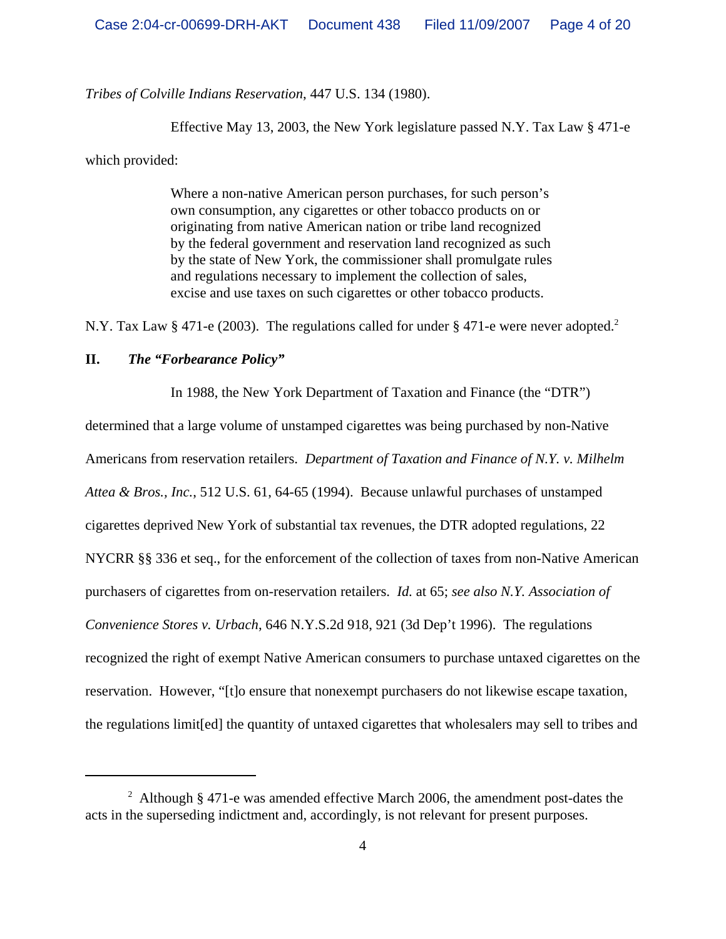*Tribes of Colville Indians Reservation*, 447 U.S. 134 (1980).

Effective May 13, 2003, the New York legislature passed N.Y. Tax Law § 471-e

which provided:

Where a non-native American person purchases, for such person's own consumption, any cigarettes or other tobacco products on or originating from native American nation or tribe land recognized by the federal government and reservation land recognized as such by the state of New York, the commissioner shall promulgate rules and regulations necessary to implement the collection of sales, excise and use taxes on such cigarettes or other tobacco products.

N.Y. Tax Law § 471-e (2003). The regulations called for under § 471-e were never adopted.<sup>2</sup>

## **II.** *The "Forbearance Policy"*

In 1988, the New York Department of Taxation and Finance (the "DTR") determined that a large volume of unstamped cigarettes was being purchased by non-Native Americans from reservation retailers. *Department of Taxation and Finance of N.Y. v. Milhelm Attea & Bros., Inc.*, 512 U.S. 61, 64-65 (1994). Because unlawful purchases of unstamped cigarettes deprived New York of substantial tax revenues, the DTR adopted regulations, 22 NYCRR §§ 336 et seq., for the enforcement of the collection of taxes from non-Native American purchasers of cigarettes from on-reservation retailers. *Id.* at 65; *see also N.Y. Association of Convenience Stores v. Urbach*, 646 N.Y.S.2d 918, 921 (3d Dep't 1996). The regulations recognized the right of exempt Native American consumers to purchase untaxed cigarettes on the reservation. However, "[t]o ensure that nonexempt purchasers do not likewise escape taxation, the regulations limit[ed] the quantity of untaxed cigarettes that wholesalers may sell to tribes and

<sup>&</sup>lt;sup>2</sup> Although § 471-e was amended effective March 2006, the amendment post-dates the acts in the superseding indictment and, accordingly, is not relevant for present purposes.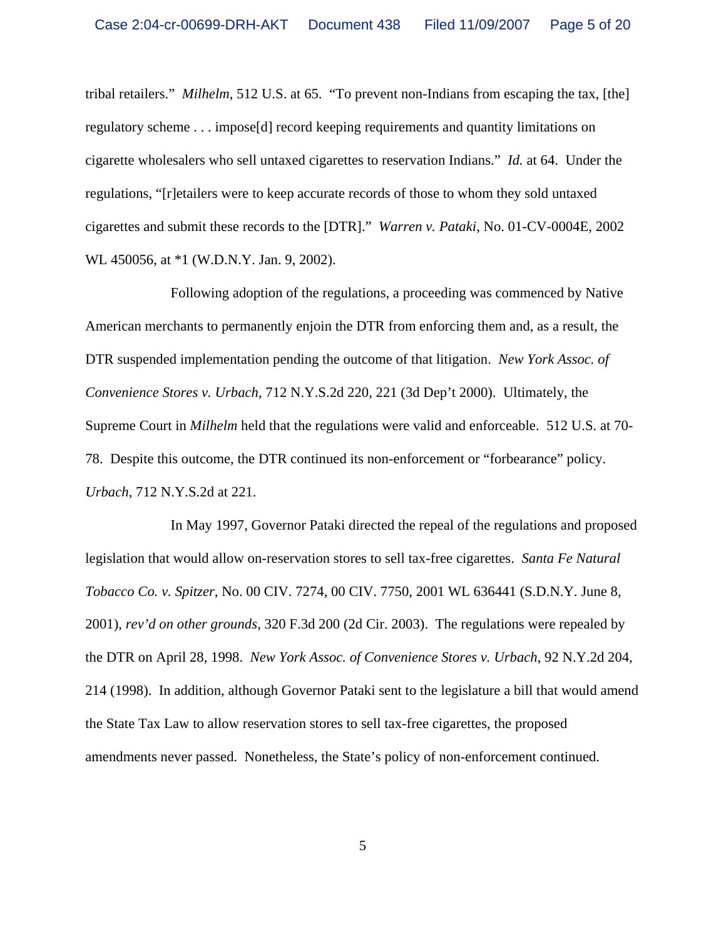tribal retailers." *Milhelm*, 512 U.S. at 65. "To prevent non-Indians from escaping the tax, [the] regulatory scheme . . . impose[d] record keeping requirements and quantity limitations on cigarette wholesalers who sell untaxed cigarettes to reservation Indians." *Id.* at 64. Under the regulations, "[r]etailers were to keep accurate records of those to whom they sold untaxed cigarettes and submit these records to the [DTR]." *Warren v. Pataki*, No. 01-CV-0004E, 2002 WL 450056, at \*1 (W.D.N.Y. Jan. 9, 2002).

Following adoption of the regulations, a proceeding was commenced by Native American merchants to permanently enjoin the DTR from enforcing them and, as a result, the DTR suspended implementation pending the outcome of that litigation. *New York Assoc. of Convenience Stores v. Urbach*, 712 N.Y.S.2d 220, 221 (3d Dep't 2000). Ultimately, the Supreme Court in *Milhelm* held that the regulations were valid and enforceable. 512 U.S. at 70- 78. Despite this outcome, the DTR continued its non-enforcement or "forbearance" policy. *Urbach*, 712 N.Y.S.2d at 221.

In May 1997, Governor Pataki directed the repeal of the regulations and proposed legislation that would allow on-reservation stores to sell tax-free cigarettes. *Santa Fe Natural Tobacco Co. v. Spitzer*, No. 00 CIV. 7274, 00 CIV. 7750, 2001 WL 636441 (S.D.N.Y. June 8, 2001), *rev'd on other grounds*, 320 F.3d 200 (2d Cir. 2003). The regulations were repealed by the DTR on April 28, 1998. *New York Assoc. of Convenience Stores v. Urbach*, 92 N.Y.2d 204, 214 (1998). In addition, although Governor Pataki sent to the legislature a bill that would amend the State Tax Law to allow reservation stores to sell tax-free cigarettes, the proposed amendments never passed. Nonetheless, the State's policy of non-enforcement continued.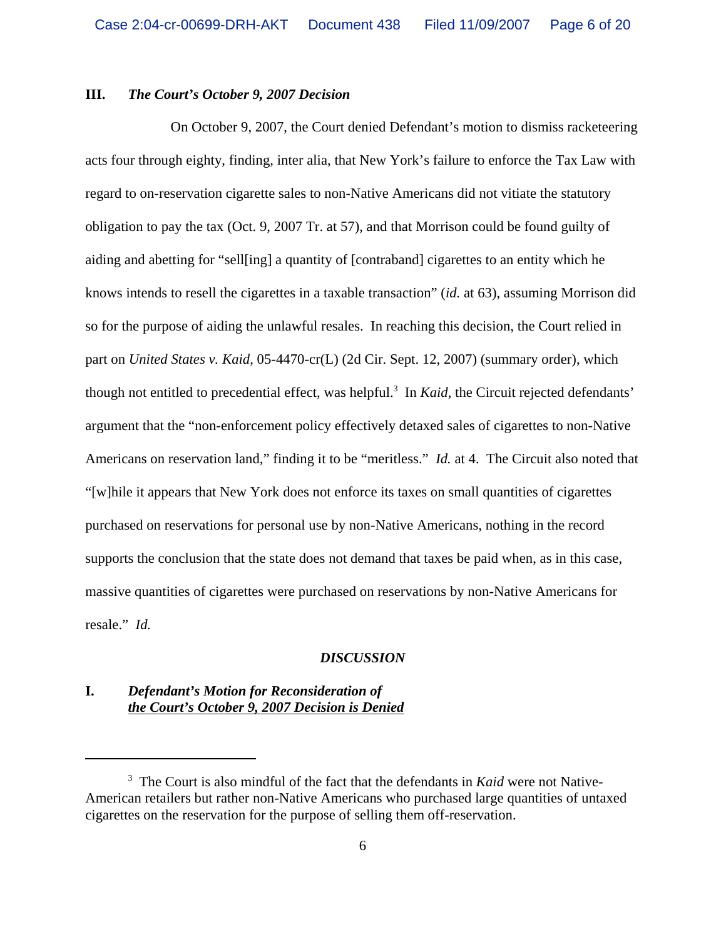### **III.** *The Court's October 9, 2007 Decision*

On October 9, 2007, the Court denied Defendant's motion to dismiss racketeering acts four through eighty, finding, inter alia, that New York's failure to enforce the Tax Law with regard to on-reservation cigarette sales to non-Native Americans did not vitiate the statutory obligation to pay the tax (Oct. 9, 2007 Tr. at 57), and that Morrison could be found guilty of aiding and abetting for "sell[ing] a quantity of [contraband] cigarettes to an entity which he knows intends to resell the cigarettes in a taxable transaction" (*id.* at 63), assuming Morrison did so for the purpose of aiding the unlawful resales. In reaching this decision, the Court relied in part on *United States v. Kaid*, 05-4470-cr(L) (2d Cir. Sept. 12, 2007) (summary order), which though not entitled to precedential effect, was helpful.<sup>3</sup> In *Kaid*, the Circuit rejected defendants' argument that the "non-enforcement policy effectively detaxed sales of cigarettes to non-Native Americans on reservation land," finding it to be "meritless." *Id.* at 4. The Circuit also noted that "[w]hile it appears that New York does not enforce its taxes on small quantities of cigarettes purchased on reservations for personal use by non-Native Americans, nothing in the record supports the conclusion that the state does not demand that taxes be paid when, as in this case, massive quantities of cigarettes were purchased on reservations by non-Native Americans for resale." *Id.*

#### *DISCUSSION*

## **I.** *Defendant's Motion for Reconsideration of the Court's October 9, 2007 Decision is Denied*

<sup>&</sup>lt;sup>3</sup> The Court is also mindful of the fact that the defendants in *Kaid* were not Native-American retailers but rather non-Native Americans who purchased large quantities of untaxed cigarettes on the reservation for the purpose of selling them off-reservation.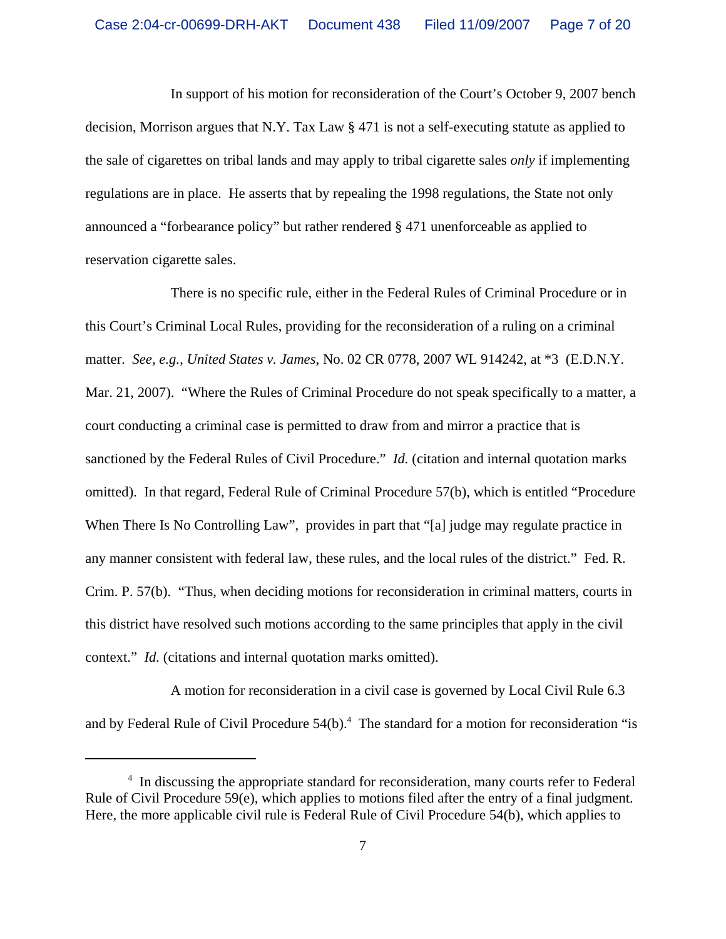In support of his motion for reconsideration of the Court's October 9, 2007 bench decision, Morrison argues that N.Y. Tax Law § 471 is not a self-executing statute as applied to the sale of cigarettes on tribal lands and may apply to tribal cigarette sales *only* if implementing regulations are in place. He asserts that by repealing the 1998 regulations, the State not only announced a "forbearance policy" but rather rendered § 471 unenforceable as applied to reservation cigarette sales.

There is no specific rule, either in the Federal Rules of Criminal Procedure or in this Court's Criminal Local Rules, providing for the reconsideration of a ruling on a criminal matter. *See, e.g.*, *United States v. James*, No. 02 CR 0778, 2007 WL 914242, at \*3 (E.D.N.Y. Mar. 21, 2007). "Where the Rules of Criminal Procedure do not speak specifically to a matter, a court conducting a criminal case is permitted to draw from and mirror a practice that is sanctioned by the Federal Rules of Civil Procedure." *Id.* (citation and internal quotation marks omitted). In that regard, Federal Rule of Criminal Procedure 57(b), which is entitled "Procedure When There Is No Controlling Law", provides in part that "[a] judge may regulate practice in any manner consistent with federal law, these rules, and the local rules of the district." Fed. R. Crim. P. 57(b). "Thus, when deciding motions for reconsideration in criminal matters, courts in this district have resolved such motions according to the same principles that apply in the civil context." *Id.* (citations and internal quotation marks omitted).

A motion for reconsideration in a civil case is governed by Local Civil Rule 6.3 and by Federal Rule of Civil Procedure  $54(b)$ .<sup>4</sup> The standard for a motion for reconsideration "is

<sup>&</sup>lt;sup>4</sup> In discussing the appropriate standard for reconsideration, many courts refer to Federal Rule of Civil Procedure 59(e), which applies to motions filed after the entry of a final judgment. Here, the more applicable civil rule is Federal Rule of Civil Procedure 54(b), which applies to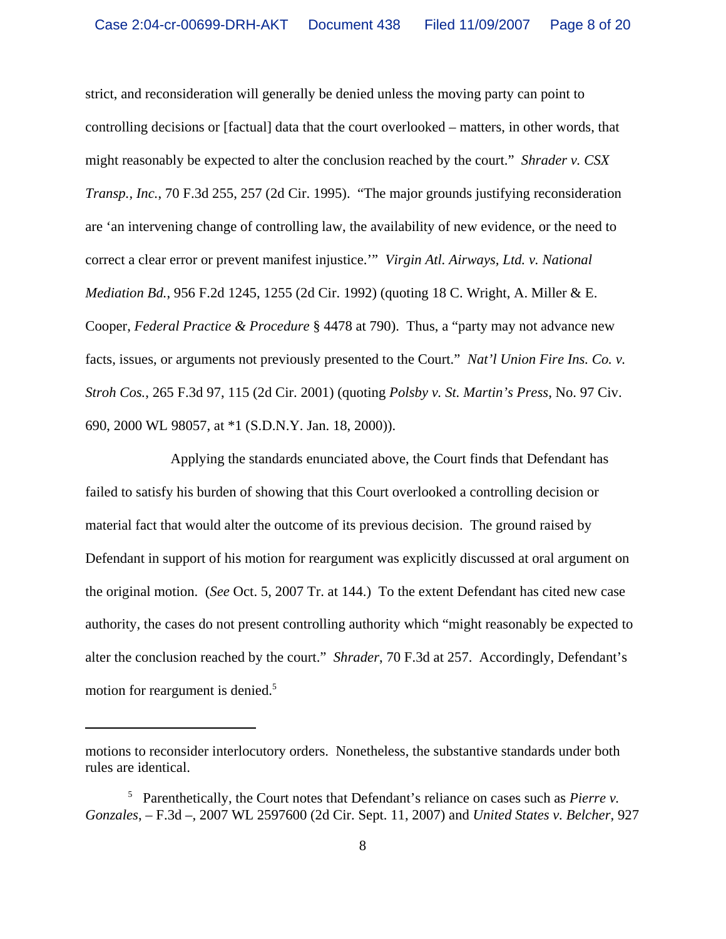strict, and reconsideration will generally be denied unless the moving party can point to controlling decisions or [factual] data that the court overlooked – matters, in other words, that might reasonably be expected to alter the conclusion reached by the court." *Shrader v. CSX Transp., Inc.*, 70 F.3d 255, 257 (2d Cir. 1995). "The major grounds justifying reconsideration are 'an intervening change of controlling law, the availability of new evidence, or the need to correct a clear error or prevent manifest injustice.'" *Virgin Atl. Airways, Ltd. v. National Mediation Bd.*, 956 F.2d 1245, 1255 (2d Cir. 1992) (quoting 18 C. Wright, A. Miller & E. Cooper, *Federal Practice & Procedure* § 4478 at 790). Thus, a "party may not advance new facts, issues, or arguments not previously presented to the Court." *Nat'l Union Fire Ins. Co. v. Stroh Cos.*, 265 F.3d 97, 115 (2d Cir. 2001) (quoting *Polsby v. St. Martin's Press*, No. 97 Civ. 690, 2000 WL 98057, at \*1 (S.D.N.Y. Jan. 18, 2000)).

Applying the standards enunciated above, the Court finds that Defendant has failed to satisfy his burden of showing that this Court overlooked a controlling decision or material fact that would alter the outcome of its previous decision. The ground raised by Defendant in support of his motion for reargument was explicitly discussed at oral argument on the original motion. (*See* Oct. 5, 2007 Tr. at 144.) To the extent Defendant has cited new case authority, the cases do not present controlling authority which "might reasonably be expected to alter the conclusion reached by the court." *Shrader*, 70 F.3d at 257. Accordingly, Defendant's motion for reargument is denied.<sup>5</sup>

motions to reconsider interlocutory orders. Nonetheless, the substantive standards under both rules are identical.

<sup>5</sup> Parenthetically, the Court notes that Defendant's reliance on cases such as *Pierre v. Gonzales*, – F.3d –, 2007 WL 2597600 (2d Cir. Sept. 11, 2007) and *United States v. Belcher*, 927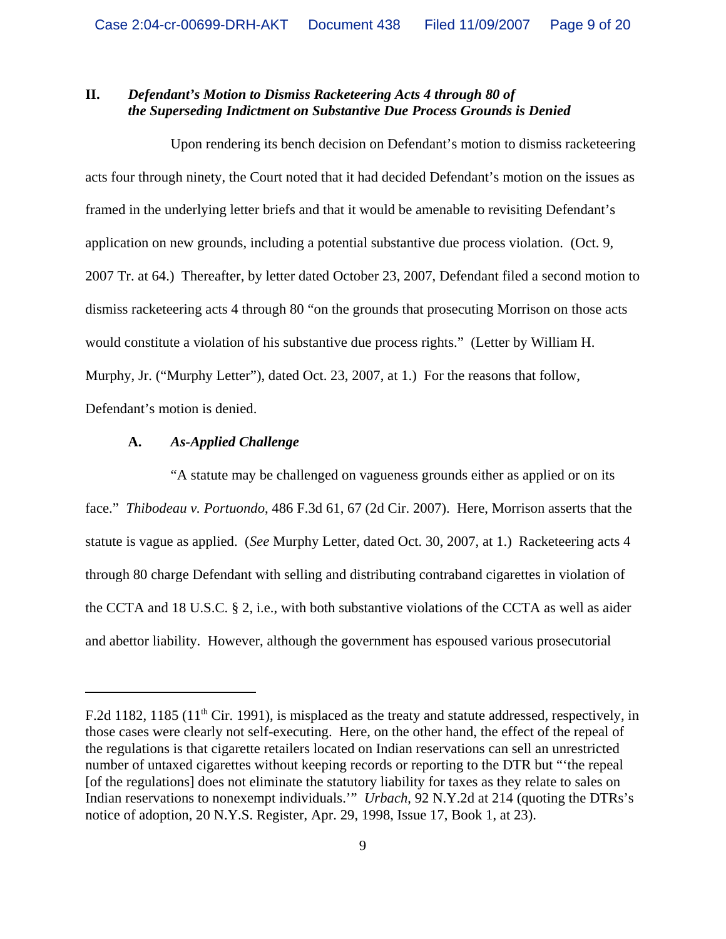# **II.** *Defendant's Motion to Dismiss Racketeering Acts 4 through 80 of the Superseding Indictment on Substantive Due Process Grounds is Denied*

Upon rendering its bench decision on Defendant's motion to dismiss racketeering acts four through ninety, the Court noted that it had decided Defendant's motion on the issues as framed in the underlying letter briefs and that it would be amenable to revisiting Defendant's application on new grounds, including a potential substantive due process violation. (Oct. 9, 2007 Tr. at 64.) Thereafter, by letter dated October 23, 2007, Defendant filed a second motion to dismiss racketeering acts 4 through 80 "on the grounds that prosecuting Morrison on those acts would constitute a violation of his substantive due process rights." (Letter by William H. Murphy, Jr. ("Murphy Letter"), dated Oct. 23, 2007, at 1.) For the reasons that follow, Defendant's motion is denied.

## **A.** *As-Applied Challenge*

"A statute may be challenged on vagueness grounds either as applied or on its face." *Thibodeau v. Portuondo*, 486 F.3d 61, 67 (2d Cir. 2007). Here, Morrison asserts that the statute is vague as applied. (*See* Murphy Letter, dated Oct. 30, 2007, at 1.) Racketeering acts 4 through 80 charge Defendant with selling and distributing contraband cigarettes in violation of the CCTA and 18 U.S.C. § 2, i.e., with both substantive violations of the CCTA as well as aider and abettor liability. However, although the government has espoused various prosecutorial

F.2d 1182, 1185 (11<sup>th</sup> Cir. 1991), is misplaced as the treaty and statute addressed, respectively, in those cases were clearly not self-executing. Here, on the other hand, the effect of the repeal of the regulations is that cigarette retailers located on Indian reservations can sell an unrestricted number of untaxed cigarettes without keeping records or reporting to the DTR but "'the repeal [of the regulations] does not eliminate the statutory liability for taxes as they relate to sales on Indian reservations to nonexempt individuals.'" *Urbach*, 92 N.Y.2d at 214 (quoting the DTRs's notice of adoption, 20 N.Y.S. Register, Apr. 29, 1998, Issue 17, Book 1, at 23).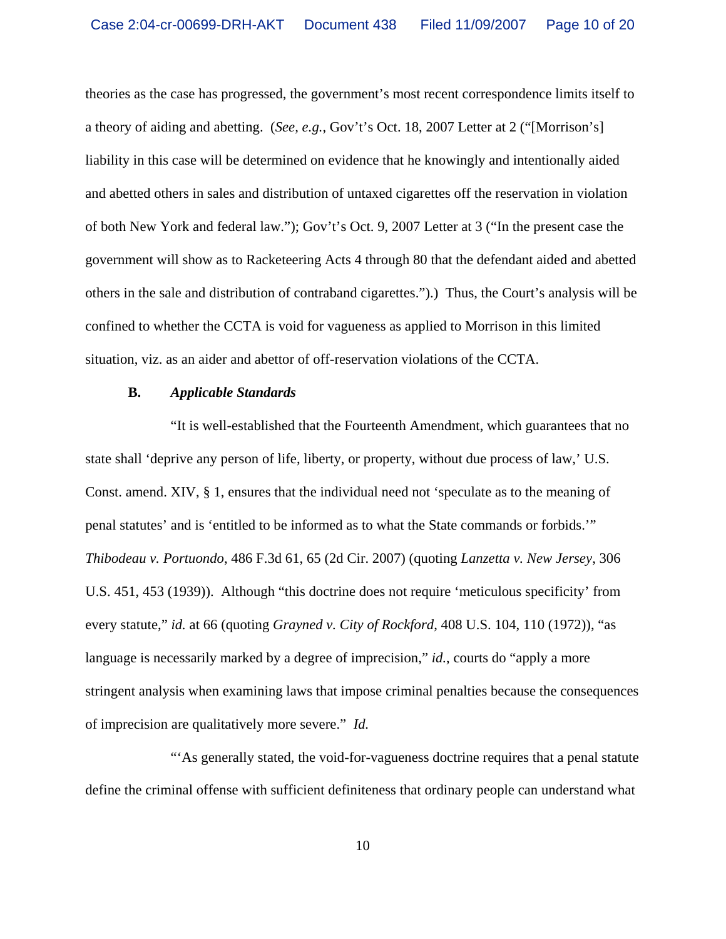theories as the case has progressed, the government's most recent correspondence limits itself to a theory of aiding and abetting. (*See, e.g.*, Gov't's Oct. 18, 2007 Letter at 2 ("[Morrison's] liability in this case will be determined on evidence that he knowingly and intentionally aided and abetted others in sales and distribution of untaxed cigarettes off the reservation in violation of both New York and federal law."); Gov't's Oct. 9, 2007 Letter at 3 ("In the present case the government will show as to Racketeering Acts 4 through 80 that the defendant aided and abetted others in the sale and distribution of contraband cigarettes.").) Thus, the Court's analysis will be confined to whether the CCTA is void for vagueness as applied to Morrison in this limited situation, viz. as an aider and abettor of off-reservation violations of the CCTA.

#### **B.** *Applicable Standards*

"It is well-established that the Fourteenth Amendment, which guarantees that no state shall 'deprive any person of life, liberty, or property, without due process of law,' U.S. Const. amend. XIV, § 1, ensures that the individual need not 'speculate as to the meaning of penal statutes' and is 'entitled to be informed as to what the State commands or forbids.'" *Thibodeau v. Portuondo*, 486 F.3d 61, 65 (2d Cir. 2007) (quoting *Lanzetta v. New Jersey*, 306 U.S. 451, 453 (1939)). Although "this doctrine does not require 'meticulous specificity' from every statute," *id.* at 66 (quoting *Grayned v. City of Rockford*, 408 U.S. 104, 110 (1972)), "as language is necessarily marked by a degree of imprecision," *id.*, courts do "apply a more stringent analysis when examining laws that impose criminal penalties because the consequences of imprecision are qualitatively more severe." *Id.*

"'As generally stated, the void-for-vagueness doctrine requires that a penal statute define the criminal offense with sufficient definiteness that ordinary people can understand what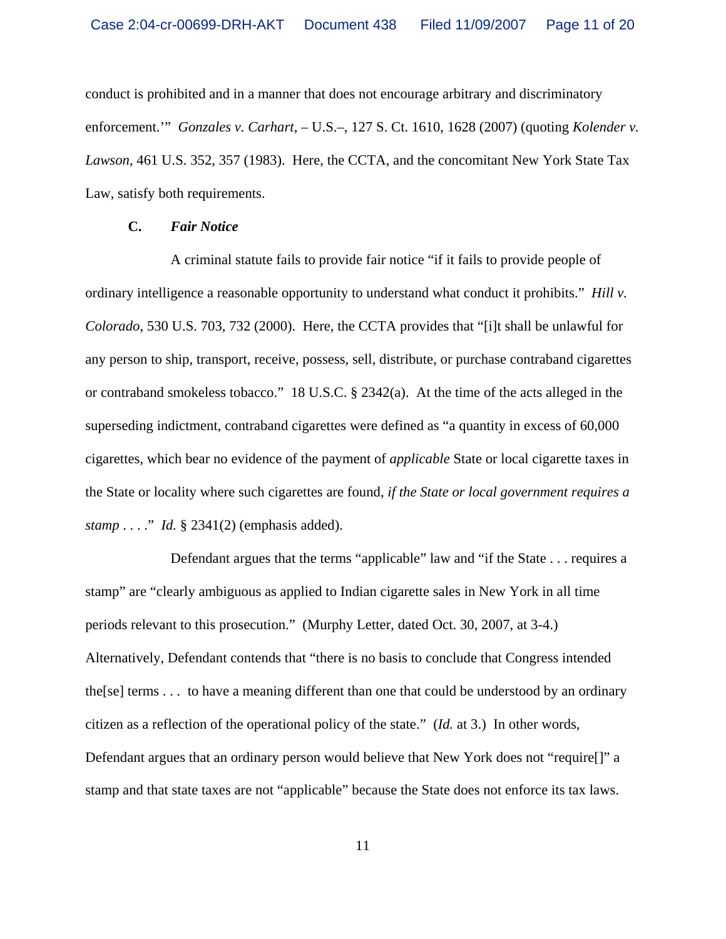conduct is prohibited and in a manner that does not encourage arbitrary and discriminatory enforcement.'" *Gonzales v. Carhart*, – U.S.–, 127 S. Ct. 1610, 1628 (2007) (quoting *Kolender v. Lawson*, 461 U.S. 352, 357 (1983). Here, the CCTA, and the concomitant New York State Tax Law, satisfy both requirements.

#### **C.** *Fair Notice*

A criminal statute fails to provide fair notice "if it fails to provide people of ordinary intelligence a reasonable opportunity to understand what conduct it prohibits." *Hill v. Colorado*, 530 U.S. 703, 732 (2000). Here, the CCTA provides that "[i]t shall be unlawful for any person to ship, transport, receive, possess, sell, distribute, or purchase contraband cigarettes or contraband smokeless tobacco." 18 U.S.C. § 2342(a). At the time of the acts alleged in the superseding indictment, contraband cigarettes were defined as "a quantity in excess of 60,000 cigarettes, which bear no evidence of the payment of *applicable* State or local cigarette taxes in the State or locality where such cigarettes are found, *if the State or local government requires a stamp* . . . ." *Id.* § 2341(2) (emphasis added).

Defendant argues that the terms "applicable" law and "if the State . . . requires a stamp" are "clearly ambiguous as applied to Indian cigarette sales in New York in all time periods relevant to this prosecution." (Murphy Letter, dated Oct. 30, 2007, at 3-4.) Alternatively, Defendant contends that "there is no basis to conclude that Congress intended the[se] terms . . . to have a meaning different than one that could be understood by an ordinary citizen as a reflection of the operational policy of the state." (*Id.* at 3.) In other words, Defendant argues that an ordinary person would believe that New York does not "require[]" a stamp and that state taxes are not "applicable" because the State does not enforce its tax laws.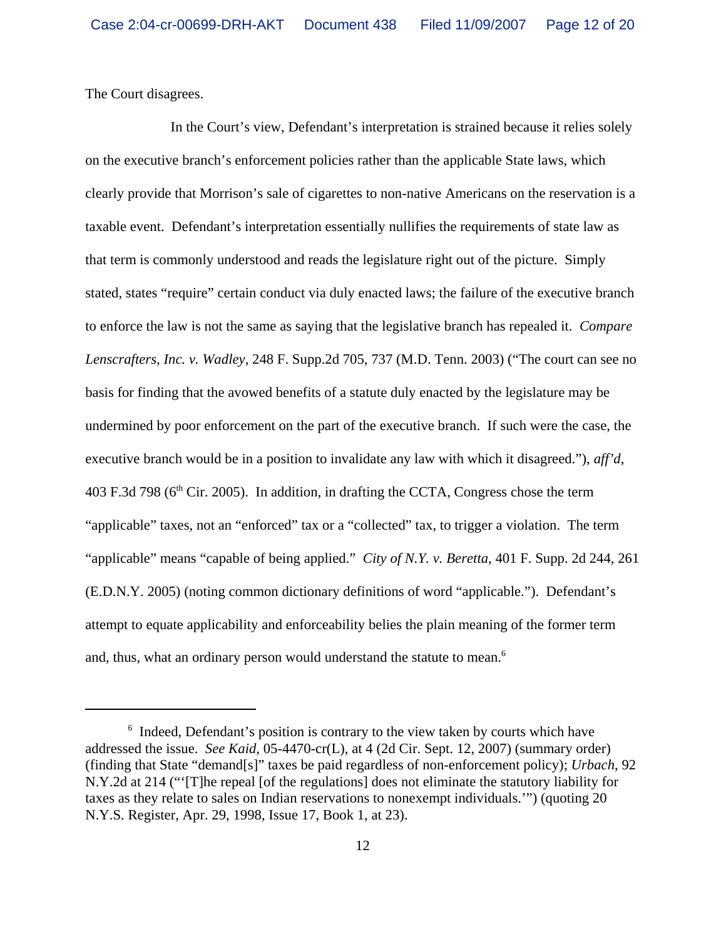The Court disagrees.

In the Court's view, Defendant's interpretation is strained because it relies solely on the executive branch's enforcement policies rather than the applicable State laws, which clearly provide that Morrison's sale of cigarettes to non-native Americans on the reservation is a taxable event. Defendant's interpretation essentially nullifies the requirements of state law as that term is commonly understood and reads the legislature right out of the picture. Simply stated, states "require" certain conduct via duly enacted laws; the failure of the executive branch to enforce the law is not the same as saying that the legislative branch has repealed it. *Compare Lenscrafters, Inc. v. Wadley*, 248 F. Supp.2d 705, 737 (M.D. Tenn. 2003) ("The court can see no basis for finding that the avowed benefits of a statute duly enacted by the legislature may be undermined by poor enforcement on the part of the executive branch. If such were the case, the executive branch would be in a position to invalidate any law with which it disagreed."), *aff'd*, 403 F.3d 798 ( $6<sup>th</sup>$  Cir. 2005). In addition, in drafting the CCTA, Congress chose the term "applicable" taxes, not an "enforced" tax or a "collected" tax, to trigger a violation. The term "applicable" means "capable of being applied." *City of N.Y. v. Beretta*, 401 F. Supp. 2d 244, 261 (E.D.N.Y. 2005) (noting common dictionary definitions of word "applicable."). Defendant's attempt to equate applicability and enforceability belies the plain meaning of the former term and, thus, what an ordinary person would understand the statute to mean.<sup>6</sup>

<sup>&</sup>lt;sup>6</sup> Indeed, Defendant's position is contrary to the view taken by courts which have addressed the issue. *See Kaid*, 05-4470-cr(L), at 4 (2d Cir. Sept. 12, 2007) (summary order) (finding that State "demand[s]" taxes be paid regardless of non-enforcement policy); *Urbach*, 92 N.Y.2d at 214 ("'[T]he repeal [of the regulations] does not eliminate the statutory liability for taxes as they relate to sales on Indian reservations to nonexempt individuals.'") (quoting 20 N.Y.S. Register, Apr. 29, 1998, Issue 17, Book 1, at 23).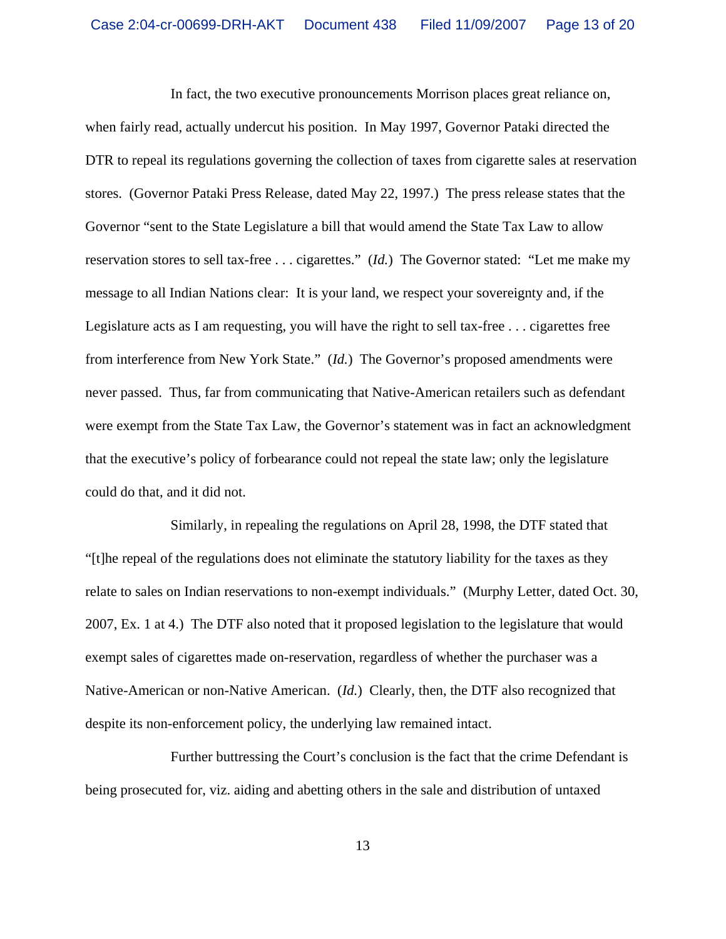In fact, the two executive pronouncements Morrison places great reliance on, when fairly read, actually undercut his position. In May 1997, Governor Pataki directed the DTR to repeal its regulations governing the collection of taxes from cigarette sales at reservation stores. (Governor Pataki Press Release, dated May 22, 1997.) The press release states that the Governor "sent to the State Legislature a bill that would amend the State Tax Law to allow reservation stores to sell tax-free . . . cigarettes." (*Id.*) The Governor stated: "Let me make my message to all Indian Nations clear: It is your land, we respect your sovereignty and, if the Legislature acts as I am requesting, you will have the right to sell tax-free . . . cigarettes free from interference from New York State." (*Id.*) The Governor's proposed amendments were never passed. Thus, far from communicating that Native-American retailers such as defendant were exempt from the State Tax Law, the Governor's statement was in fact an acknowledgment that the executive's policy of forbearance could not repeal the state law; only the legislature could do that, and it did not.

Similarly, in repealing the regulations on April 28, 1998, the DTF stated that "[t]he repeal of the regulations does not eliminate the statutory liability for the taxes as they relate to sales on Indian reservations to non-exempt individuals." (Murphy Letter, dated Oct. 30, 2007, Ex. 1 at 4.) The DTF also noted that it proposed legislation to the legislature that would exempt sales of cigarettes made on-reservation, regardless of whether the purchaser was a Native-American or non-Native American. (*Id.*) Clearly, then, the DTF also recognized that despite its non-enforcement policy, the underlying law remained intact.

Further buttressing the Court's conclusion is the fact that the crime Defendant is being prosecuted for, viz. aiding and abetting others in the sale and distribution of untaxed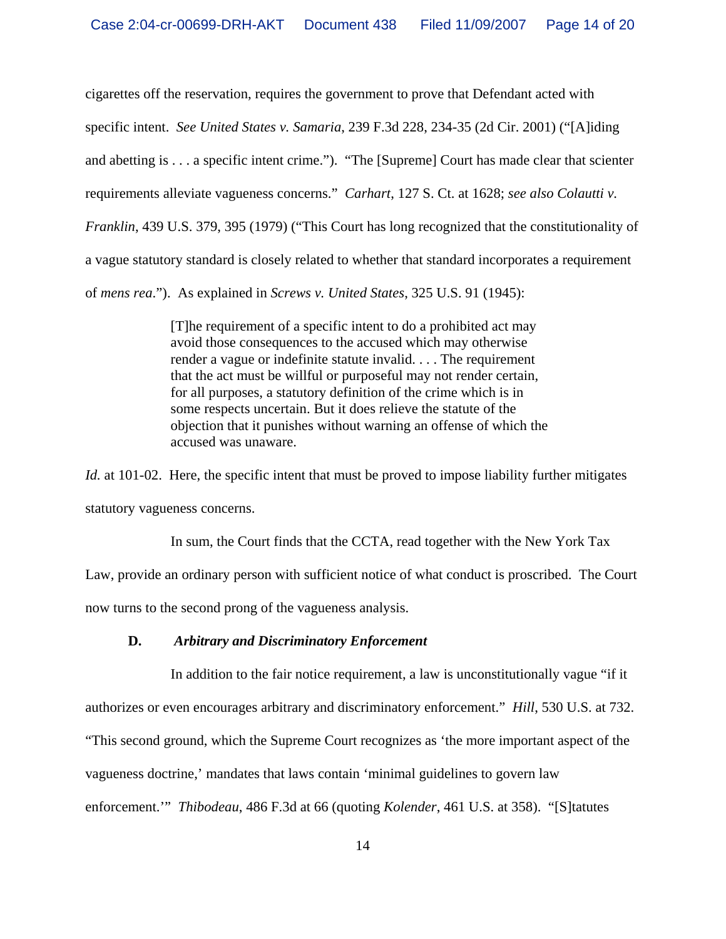cigarettes off the reservation, requires the government to prove that Defendant acted with specific intent. *See United States v. Samaria*, 239 F.3d 228, 234-35 (2d Cir. 2001) ("[A]iding and abetting is . . . a specific intent crime."). "The [Supreme] Court has made clear that scienter requirements alleviate vagueness concerns." *Carhart*, 127 S. Ct. at 1628; *see also Colautti v. Franklin*, 439 U.S. 379, 395 (1979) ("This Court has long recognized that the constitutionality of a vague statutory standard is closely related to whether that standard incorporates a requirement of *mens rea*."). As explained in *Screws v. United States*, 325 U.S. 91 (1945):

> [T]he requirement of a specific intent to do a prohibited act may avoid those consequences to the accused which may otherwise render a vague or indefinite statute invalid. . . . The requirement that the act must be willful or purposeful may not render certain, for all purposes, a statutory definition of the crime which is in some respects uncertain. But it does relieve the statute of the objection that it punishes without warning an offense of which the accused was unaware.

*Id.* at 101-02. Here, the specific intent that must be proved to impose liability further mitigates statutory vagueness concerns.

In sum, the Court finds that the CCTA, read together with the New York Tax Law, provide an ordinary person with sufficient notice of what conduct is proscribed. The Court now turns to the second prong of the vagueness analysis.

### **D.** *Arbitrary and Discriminatory Enforcement*

In addition to the fair notice requirement, a law is unconstitutionally vague "if it authorizes or even encourages arbitrary and discriminatory enforcement." *Hill*, 530 U.S. at 732. "This second ground, which the Supreme Court recognizes as 'the more important aspect of the vagueness doctrine,' mandates that laws contain 'minimal guidelines to govern law enforcement.'" *Thibodeau*, 486 F.3d at 66 (quoting *Kolender*, 461 U.S. at 358). "[S]tatutes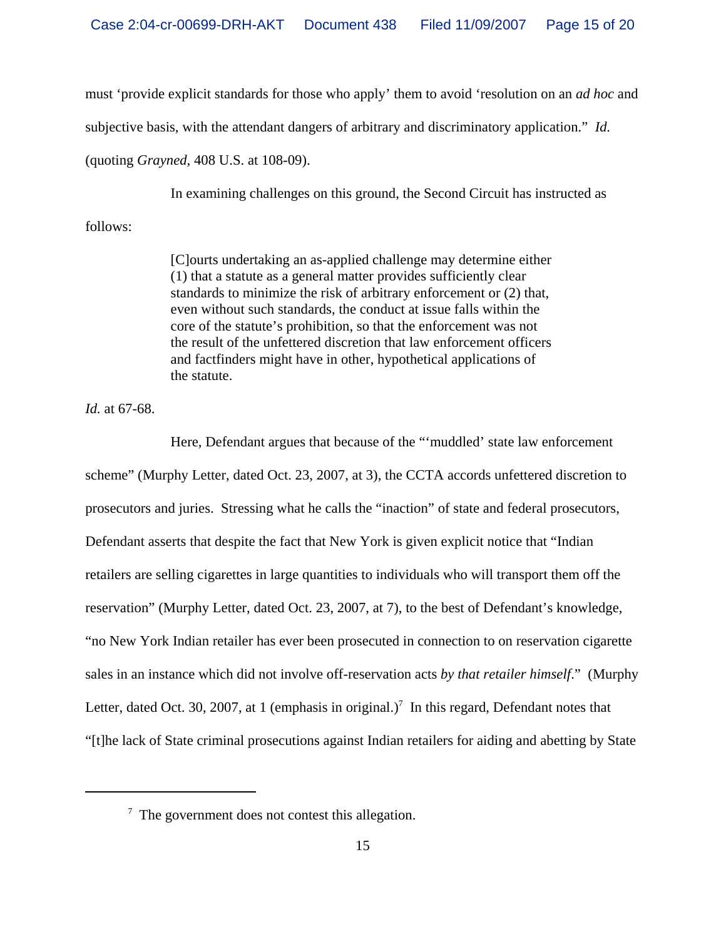must 'provide explicit standards for those who apply' them to avoid 'resolution on an *ad hoc* and

subjective basis, with the attendant dangers of arbitrary and discriminatory application." *Id.*

(quoting *Grayned*, 408 U.S. at 108-09).

In examining challenges on this ground, the Second Circuit has instructed as

follows:

[C]ourts undertaking an as-applied challenge may determine either (1) that a statute as a general matter provides sufficiently clear standards to minimize the risk of arbitrary enforcement or (2) that, even without such standards, the conduct at issue falls within the core of the statute's prohibition, so that the enforcement was not the result of the unfettered discretion that law enforcement officers and factfinders might have in other, hypothetical applications of the statute.

*Id.* at 67-68.

Here, Defendant argues that because of the "'muddled' state law enforcement scheme" (Murphy Letter, dated Oct. 23, 2007, at 3), the CCTA accords unfettered discretion to prosecutors and juries. Stressing what he calls the "inaction" of state and federal prosecutors, Defendant asserts that despite the fact that New York is given explicit notice that "Indian retailers are selling cigarettes in large quantities to individuals who will transport them off the reservation" (Murphy Letter, dated Oct. 23, 2007, at 7), to the best of Defendant's knowledge, "no New York Indian retailer has ever been prosecuted in connection to on reservation cigarette sales in an instance which did not involve off-reservation acts *by that retailer himself*." (Murphy Letter, dated Oct. 30, 2007, at 1 (emphasis in original.)<sup>7</sup> In this regard, Defendant notes that "[t]he lack of State criminal prosecutions against Indian retailers for aiding and abetting by State

 $7$  The government does not contest this allegation.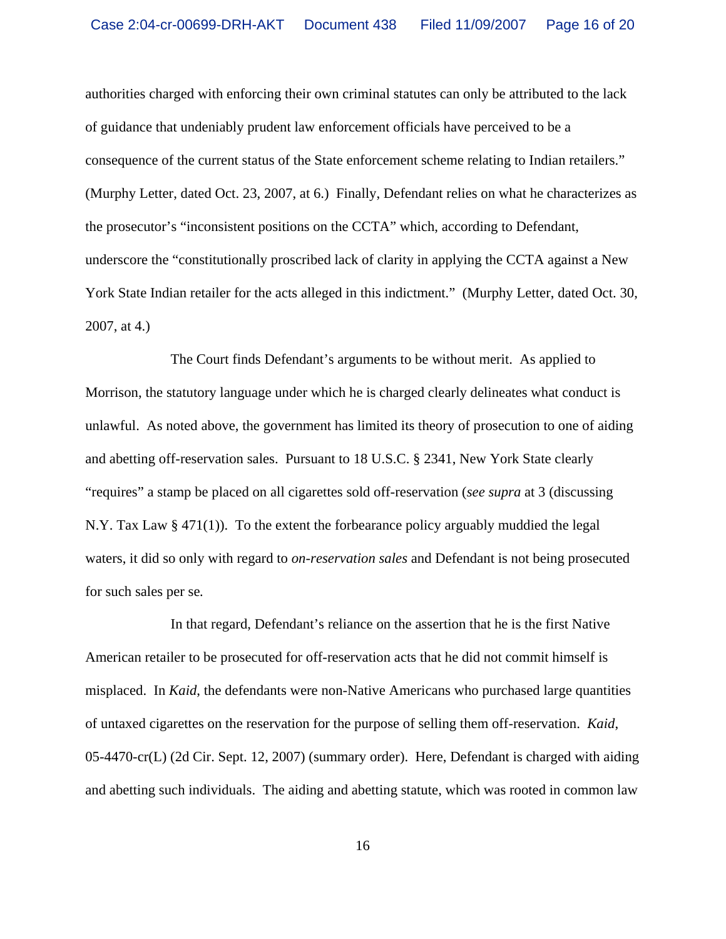authorities charged with enforcing their own criminal statutes can only be attributed to the lack of guidance that undeniably prudent law enforcement officials have perceived to be a consequence of the current status of the State enforcement scheme relating to Indian retailers." (Murphy Letter, dated Oct. 23, 2007, at 6.) Finally, Defendant relies on what he characterizes as the prosecutor's "inconsistent positions on the CCTA" which, according to Defendant, underscore the "constitutionally proscribed lack of clarity in applying the CCTA against a New York State Indian retailer for the acts alleged in this indictment." (Murphy Letter, dated Oct. 30, 2007, at 4.)

The Court finds Defendant's arguments to be without merit. As applied to Morrison, the statutory language under which he is charged clearly delineates what conduct is unlawful. As noted above, the government has limited its theory of prosecution to one of aiding and abetting off-reservation sales. Pursuant to 18 U.S.C. § 2341, New York State clearly "requires" a stamp be placed on all cigarettes sold off-reservation (*see supra* at 3 (discussing N.Y. Tax Law  $\S 471(1)$ . To the extent the forbearance policy arguably muddied the legal waters, it did so only with regard to *on-reservation sales* and Defendant is not being prosecuted for such sales per se*.*

In that regard, Defendant's reliance on the assertion that he is the first Native American retailer to be prosecuted for off-reservation acts that he did not commit himself is misplaced. In *Kaid*, the defendants were non-Native Americans who purchased large quantities of untaxed cigarettes on the reservation for the purpose of selling them off-reservation. *Kaid*, 05-4470-cr(L) (2d Cir. Sept. 12, 2007) (summary order). Here, Defendant is charged with aiding and abetting such individuals. The aiding and abetting statute, which was rooted in common law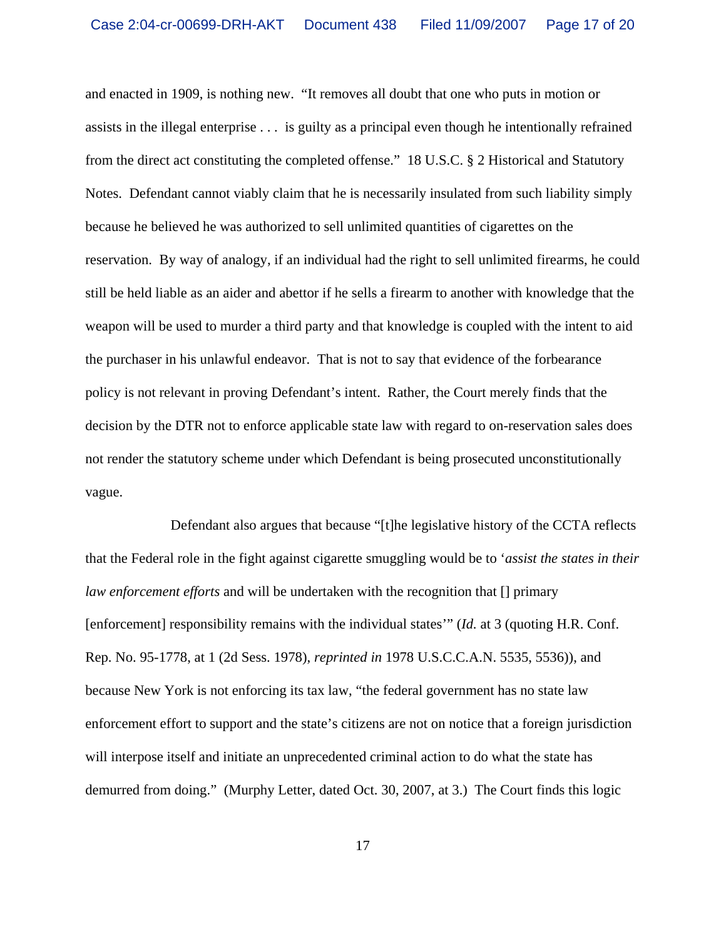and enacted in 1909, is nothing new. "It removes all doubt that one who puts in motion or assists in the illegal enterprise . . . is guilty as a principal even though he intentionally refrained from the direct act constituting the completed offense." 18 U.S.C. § 2 Historical and Statutory Notes. Defendant cannot viably claim that he is necessarily insulated from such liability simply because he believed he was authorized to sell unlimited quantities of cigarettes on the reservation. By way of analogy, if an individual had the right to sell unlimited firearms, he could still be held liable as an aider and abettor if he sells a firearm to another with knowledge that the weapon will be used to murder a third party and that knowledge is coupled with the intent to aid the purchaser in his unlawful endeavor. That is not to say that evidence of the forbearance policy is not relevant in proving Defendant's intent. Rather, the Court merely finds that the decision by the DTR not to enforce applicable state law with regard to on-reservation sales does not render the statutory scheme under which Defendant is being prosecuted unconstitutionally vague.

Defendant also argues that because "[t]he legislative history of the CCTA reflects that the Federal role in the fight against cigarette smuggling would be to '*assist the states in their law enforcement efforts* and will be undertaken with the recognition that [] primary [enforcement] responsibility remains with the individual states'" (*Id.* at 3 (quoting H.R. Conf. Rep. No. 95-1778, at 1 (2d Sess. 1978), *reprinted in* 1978 U.S.C.C.A.N. 5535, 5536)), and because New York is not enforcing its tax law, "the federal government has no state law enforcement effort to support and the state's citizens are not on notice that a foreign jurisdiction will interpose itself and initiate an unprecedented criminal action to do what the state has demurred from doing." (Murphy Letter, dated Oct. 30, 2007, at 3.) The Court finds this logic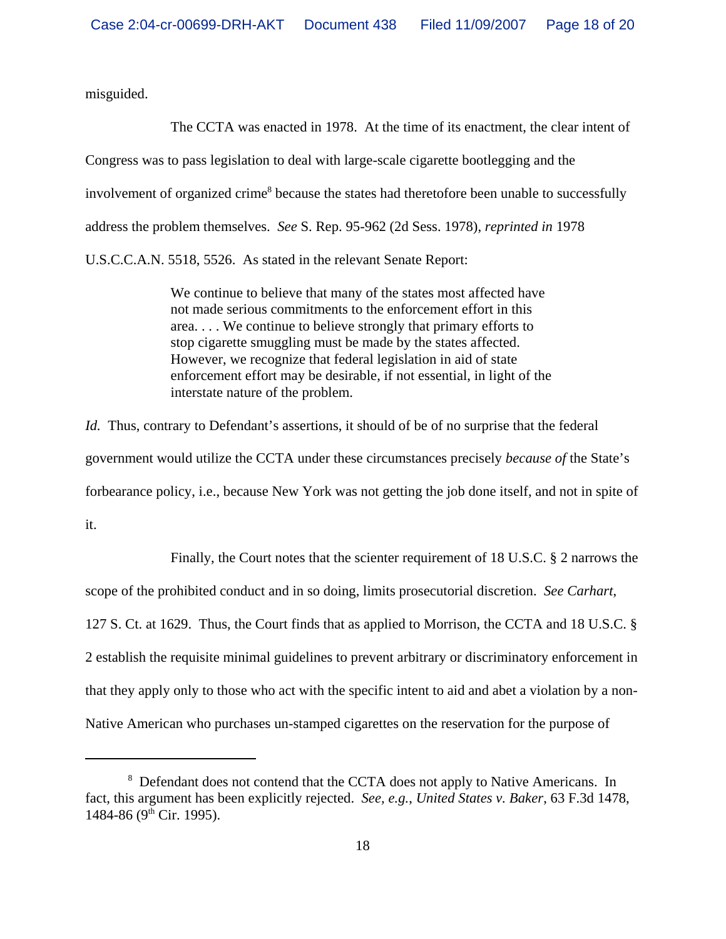misguided.

The CCTA was enacted in 1978. At the time of its enactment, the clear intent of Congress was to pass legislation to deal with large-scale cigarette bootlegging and the involvement of organized crime<sup>8</sup> because the states had theretofore been unable to successfully address the problem themselves. *See* S. Rep. 95-962 (2d Sess. 1978), *reprinted in* 1978 U.S.C.C.A.N. 5518, 5526. As stated in the relevant Senate Report:

> We continue to believe that many of the states most affected have not made serious commitments to the enforcement effort in this area. . . . We continue to believe strongly that primary efforts to stop cigarette smuggling must be made by the states affected. However, we recognize that federal legislation in aid of state enforcement effort may be desirable, if not essential, in light of the interstate nature of the problem.

*Id.* Thus, contrary to Defendant's assertions, it should of be of no surprise that the federal government would utilize the CCTA under these circumstances precisely *because of* the State's forbearance policy, i.e., because New York was not getting the job done itself, and not in spite of it.

Finally, the Court notes that the scienter requirement of 18 U.S.C. § 2 narrows the scope of the prohibited conduct and in so doing, limits prosecutorial discretion. *See Carhart*, 127 S. Ct. at 1629. Thus, the Court finds that as applied to Morrison, the CCTA and 18 U.S.C. § 2 establish the requisite minimal guidelines to prevent arbitrary or discriminatory enforcement in that they apply only to those who act with the specific intent to aid and abet a violation by a non-Native American who purchases un-stamped cigarettes on the reservation for the purpose of

<sup>&</sup>lt;sup>8</sup> Defendant does not contend that the CCTA does not apply to Native Americans. In fact, this argument has been explicitly rejected. *See, e.g.*, *United States v. Baker*, 63 F.3d 1478, 1484-86 ( $9<sup>th</sup>$  Cir. 1995).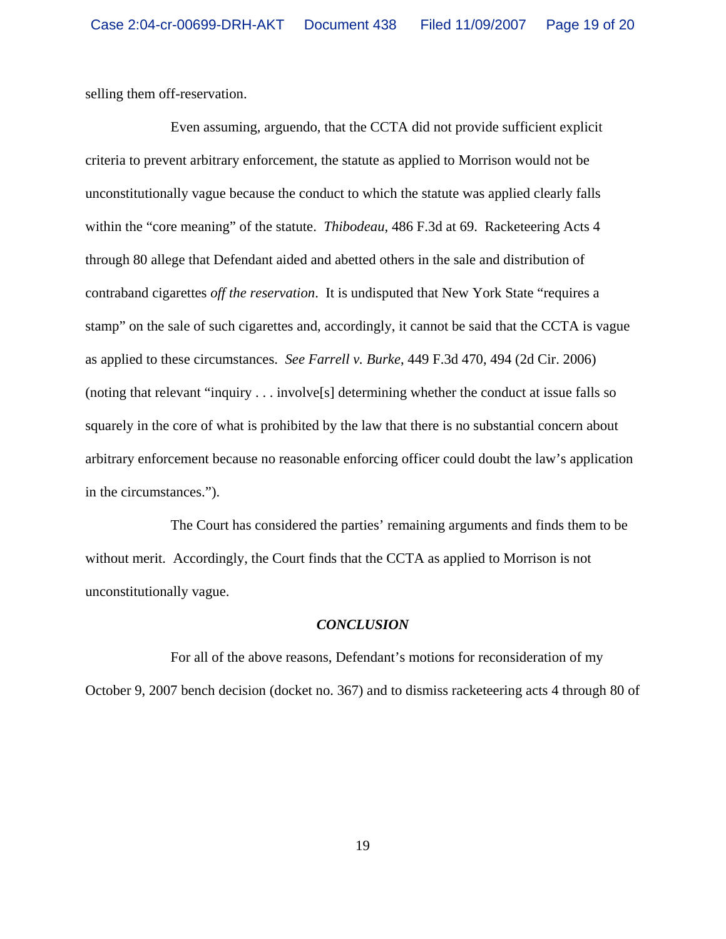selling them off-reservation.

Even assuming, arguendo, that the CCTA did not provide sufficient explicit criteria to prevent arbitrary enforcement, the statute as applied to Morrison would not be unconstitutionally vague because the conduct to which the statute was applied clearly falls within the "core meaning" of the statute. *Thibodeau*, 486 F.3d at 69. Racketeering Acts 4 through 80 allege that Defendant aided and abetted others in the sale and distribution of contraband cigarettes *off the reservation*. It is undisputed that New York State "requires a stamp" on the sale of such cigarettes and, accordingly, it cannot be said that the CCTA is vague as applied to these circumstances. *See Farrell v. Burke*, 449 F.3d 470, 494 (2d Cir. 2006) (noting that relevant "inquiry . . . involve[s] determining whether the conduct at issue falls so squarely in the core of what is prohibited by the law that there is no substantial concern about arbitrary enforcement because no reasonable enforcing officer could doubt the law's application in the circumstances.").

 The Court has considered the parties' remaining arguments and finds them to be without merit. Accordingly, the Court finds that the CCTA as applied to Morrison is not unconstitutionally vague.

#### *CONCLUSION*

For all of the above reasons, Defendant's motions for reconsideration of my October 9, 2007 bench decision (docket no. 367) and to dismiss racketeering acts 4 through 80 of